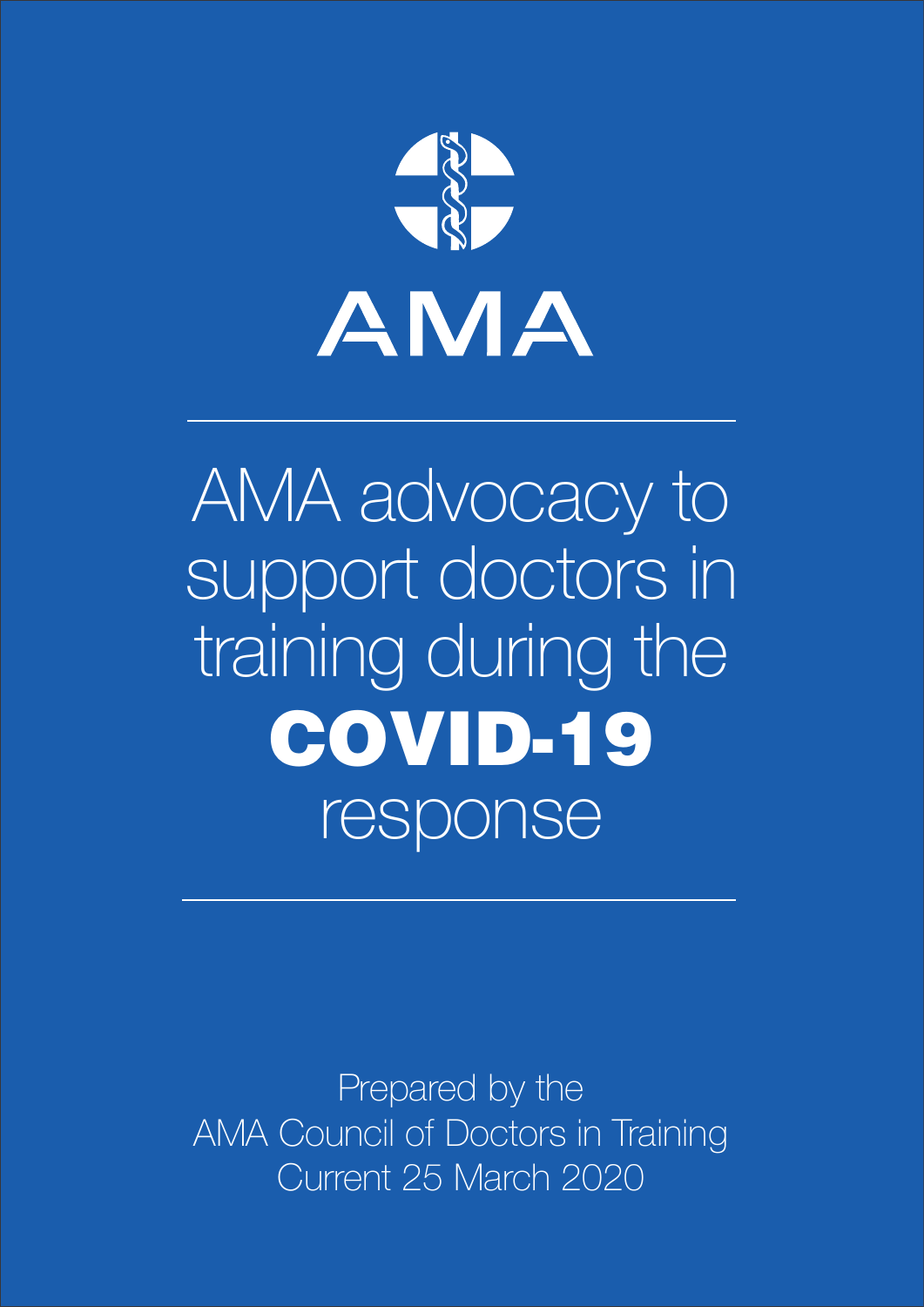

Prepared by the AMA Council of Doctors in Training Current 25 March 2020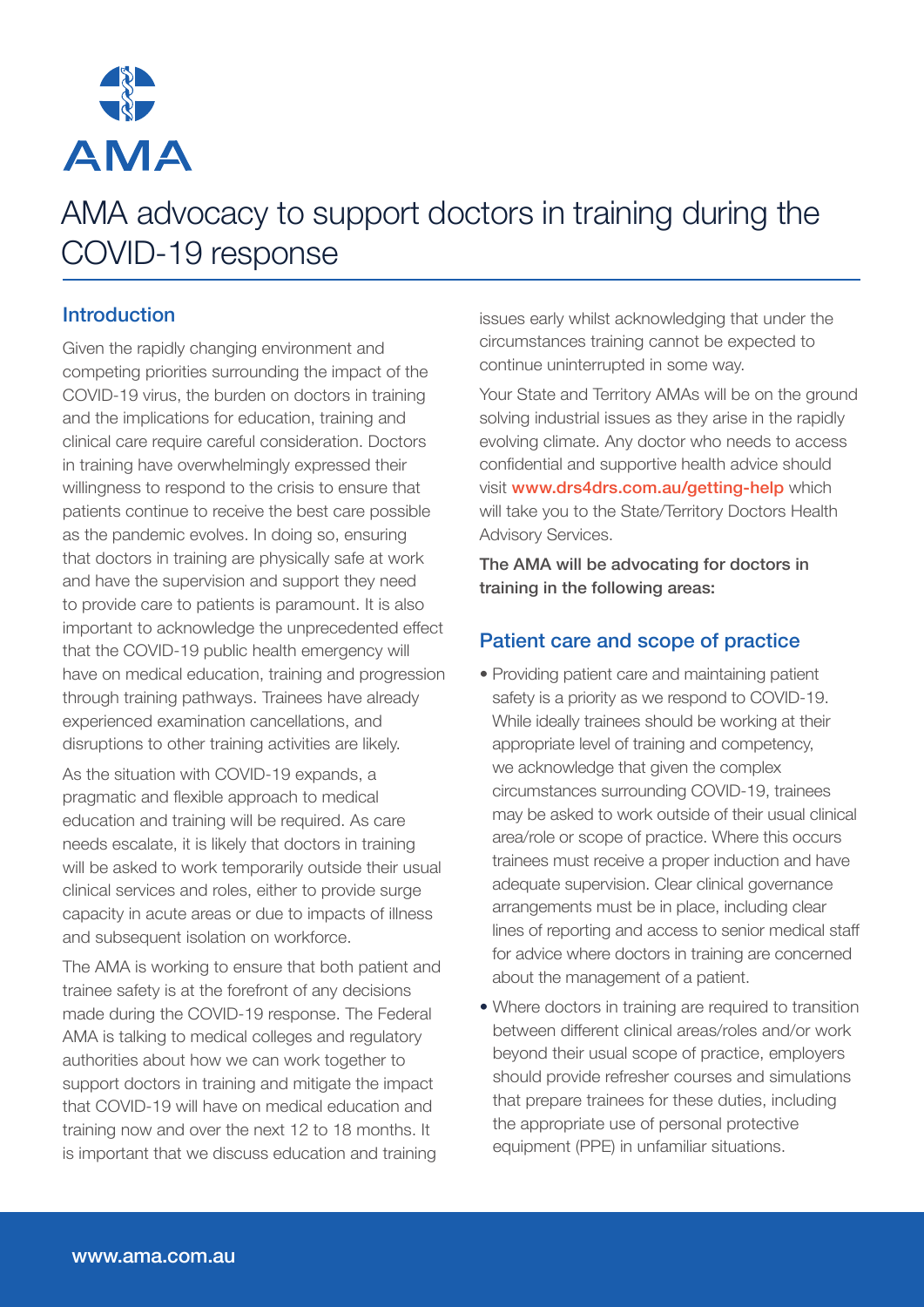

# **Introduction**

Given the rapidly changing environment and competing priorities surrounding the impact of the COVID-19 virus, the burden on doctors in training and the implications for education, training and clinical care require careful consideration. Doctors in training have overwhelmingly expressed their willingness to respond to the crisis to ensure that patients continue to receive the best care possible as the pandemic evolves. In doing so, ensuring that doctors in training are physically safe at work and have the supervision and support they need to provide care to patients is paramount. It is also important to acknowledge the unprecedented effect that the COVID-19 public health emergency will have on medical education, training and progression through training pathways. Trainees have already experienced examination cancellations, and disruptions to other training activities are likely.

As the situation with COVID-19 expands, a pragmatic and flexible approach to medical education and training will be required. As care needs escalate, it is likely that doctors in training will be asked to work temporarily outside their usual clinical services and roles, either to provide surge capacity in acute areas or due to impacts of illness and subsequent isolation on workforce.

The AMA is working to ensure that both patient and trainee safety is at the forefront of any decisions made during the COVID-19 response. The Federal AMA is talking to medical colleges and regulatory authorities about how we can work together to support doctors in training and mitigate the impact that COVID-19 will have on medical education and training now and over the next 12 to 18 months. It is important that we discuss education and training

issues early whilst acknowledging that under the circumstances training cannot be expected to continue uninterrupted in some way.

Your State and Territory AMAs will be on the ground solving industrial issues as they arise in the rapidly evolving climate. Any doctor who needs to access confidential and supportive health advice should visit www.drs4drs.com.au/getting-help which [will take you to the State/Territory Doctors Health](https://www.drs4drs.com.au/getting-help/)  Advisory Services.

The AMA will be advocating for doctors in training in the following areas:

# Patient care and scope of practice

- Providing patient care and maintaining patient safety is a priority as we respond to COVID-19. While ideally trainees should be working at their appropriate level of training and competency, we acknowledge that given the complex circumstances surrounding COVID-19, trainees may be asked to work outside of their usual clinical area/role or scope of practice. Where this occurs trainees must receive a proper induction and have adequate supervision. Clear clinical governance arrangements must be in place, including clear lines of reporting and access to senior medical staff for advice where doctors in training are concerned about the management of a patient.
- Where doctors in training are required to transition between different clinical areas/roles and/or work beyond their usual scope of practice, employers should provide refresher courses and simulations that prepare trainees for these duties, including the appropriate use of personal protective equipment (PPE) in unfamiliar situations.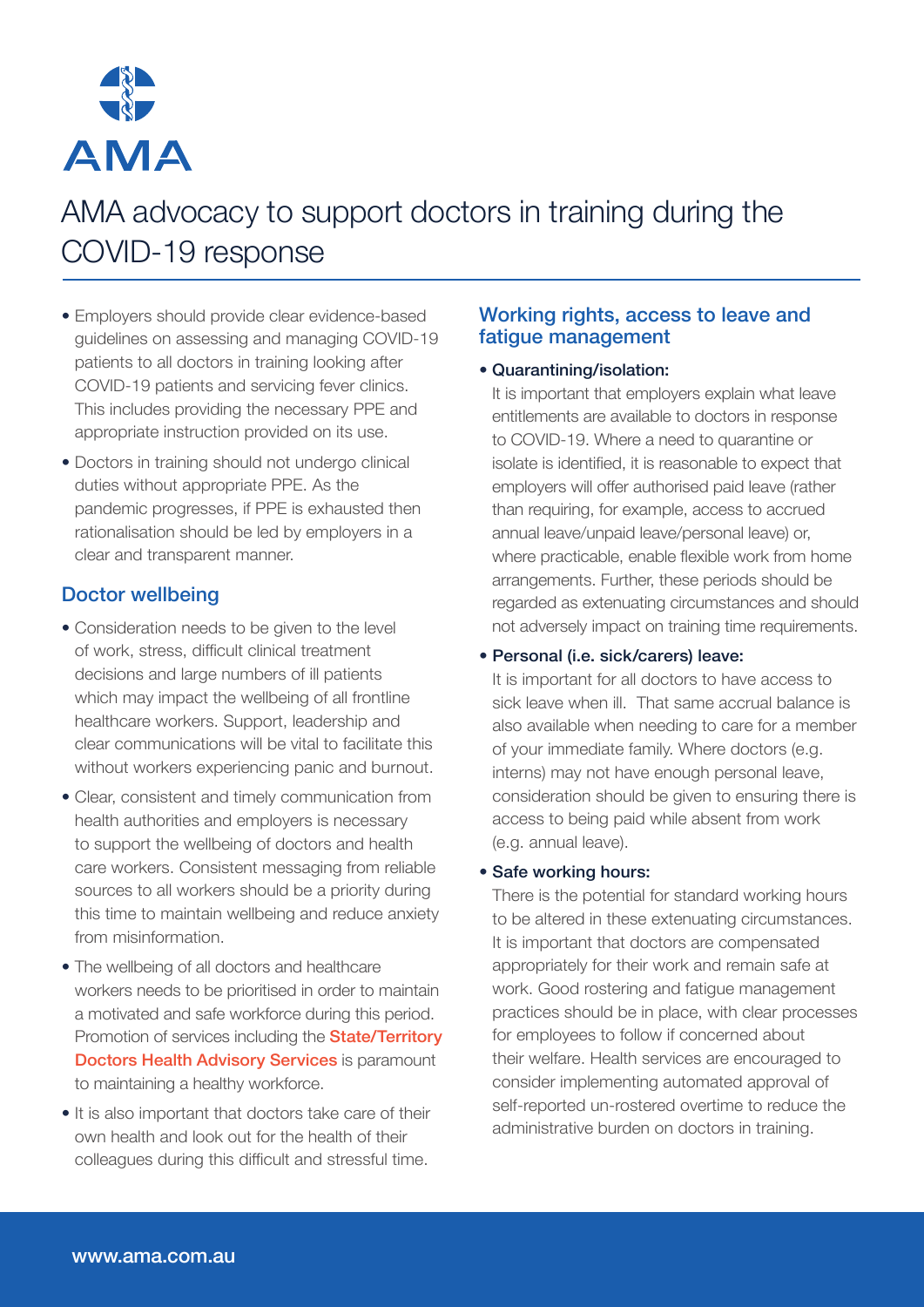

- Employers should provide clear evidence-based guidelines on assessing and managing COVID-19 patients to all doctors in training looking after COVID-19 patients and servicing fever clinics. This includes providing the necessary PPE and appropriate instruction provided on its use.
- Doctors in training should not undergo clinical duties without appropriate PPE. As the pandemic progresses, if PPE is exhausted then rationalisation should be led by employers in a clear and transparent manner.

# Doctor wellbeing

- Consideration needs to be given to the level of work, stress, difficult clinical treatment decisions and large numbers of ill patients which may impact the wellbeing of all frontline healthcare workers. Support, leadership and clear communications will be vital to facilitate this without workers experiencing panic and burnout.
- Clear, consistent and timely communication from health authorities and employers is necessary to support the wellbeing of doctors and health care workers. Consistent messaging from reliable sources to all workers should be a priority during this time to maintain wellbeing and reduce anxiety from misinformation.
- The wellbeing of all doctors and healthcare workers needs to be prioritised in order to maintain [a motivated and safe workforce during this period.](https://www.drs4drs.com.au/getting-help/)  Promotion of services including the **State/Territory Doctors Health Advisory Services** is paramount to maintaining a healthy workforce.
- It is also important that doctors take care of their own health and look out for the health of their colleagues during this difficult and stressful time.

# Working rights, access to leave and fatigue management

# • Quarantining/isolation:

It is important that employers explain what leave entitlements are available to doctors in response to COVID-19. Where a need to quarantine or isolate is identified, it is reasonable to expect that employers will offer authorised paid leave (rather than requiring, for example, access to accrued annual leave/unpaid leave/personal leave) or, where practicable, enable flexible work from home arrangements. Further, these periods should be regarded as extenuating circumstances and should not adversely impact on training time requirements.

# • Personal (i.e. sick/carers) leave:

It is important for all doctors to have access to sick leave when ill. That same accrual balance is also available when needing to care for a member of your immediate family. Where doctors (e.g. interns) may not have enough personal leave, consideration should be given to ensuring there is access to being paid while absent from work (e.g. annual leave).

#### • Safe working hours:

There is the potential for standard working hours to be altered in these extenuating circumstances. It is important that doctors are compensated appropriately for their work and remain safe at work. Good rostering and fatigue management practices should be in place, with clear processes for employees to follow if concerned about their welfare. Health services are encouraged to consider implementing automated approval of self-reported un-rostered overtime to reduce the administrative burden on doctors in training.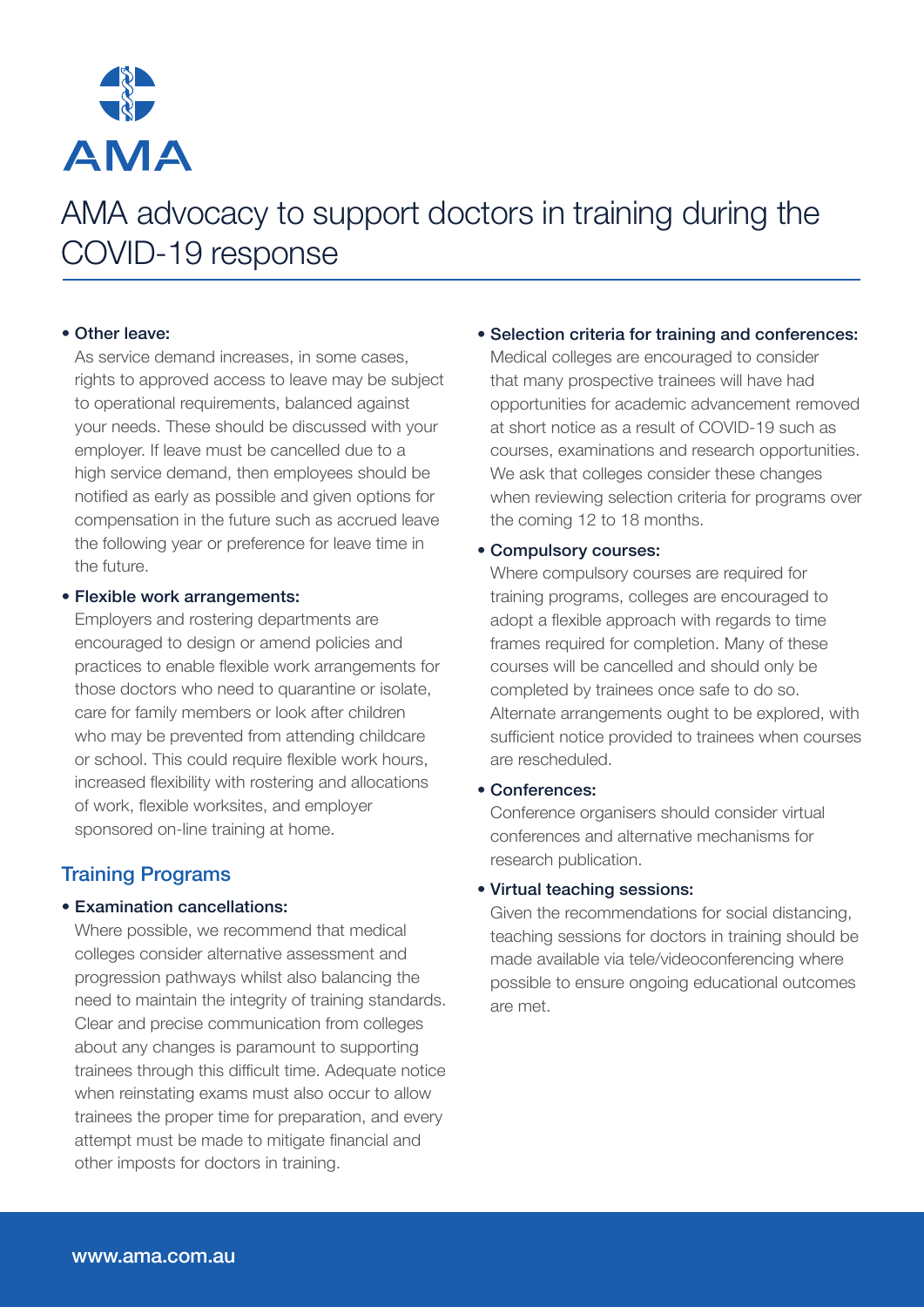

# • Other leave:

As service demand increases, in some cases, rights to approved access to leave may be subject to operational requirements, balanced against your needs. These should be discussed with your employer. If leave must be cancelled due to a high service demand, then employees should be notified as early as possible and given options for compensation in the future such as accrued leave the following year or preference for leave time in the future.

#### • Flexible work arrangements:

Employers and rostering departments are encouraged to design or amend policies and practices to enable flexible work arrangements for those doctors who need to quarantine or isolate, care for family members or look after children who may be prevented from attending childcare or school. This could require flexible work hours, increased flexibility with rostering and allocations of work, flexible worksites, and employer sponsored on-line training at home.

# Training Programs

#### • Examination cancellations:

Where possible, we recommend that medical colleges consider alternative assessment and progression pathways whilst also balancing the need to maintain the integrity of training standards. Clear and precise communication from colleges about any changes is paramount to supporting trainees through this difficult time. Adequate notice when reinstating exams must also occur to allow trainees the proper time for preparation, and every attempt must be made to mitigate financial and other imposts for doctors in training.

### • Selection criteria for training and conferences:

Medical colleges are encouraged to consider that many prospective trainees will have had opportunities for academic advancement removed at short notice as a result of COVID-19 such as courses, examinations and research opportunities. We ask that colleges consider these changes when reviewing selection criteria for programs over the coming 12 to 18 months.

### • Compulsory courses:

Where compulsory courses are required for training programs, colleges are encouraged to adopt a flexible approach with regards to time frames required for completion. Many of these courses will be cancelled and should only be completed by trainees once safe to do so. Alternate arrangements ought to be explored, with sufficient notice provided to trainees when courses are rescheduled.

#### • Conferences:

Conference organisers should consider virtual conferences and alternative mechanisms for research publication.

#### • Virtual teaching sessions:

Given the recommendations for social distancing, teaching sessions for doctors in training should be made available via tele/videoconferencing where possible to ensure ongoing educational outcomes are met.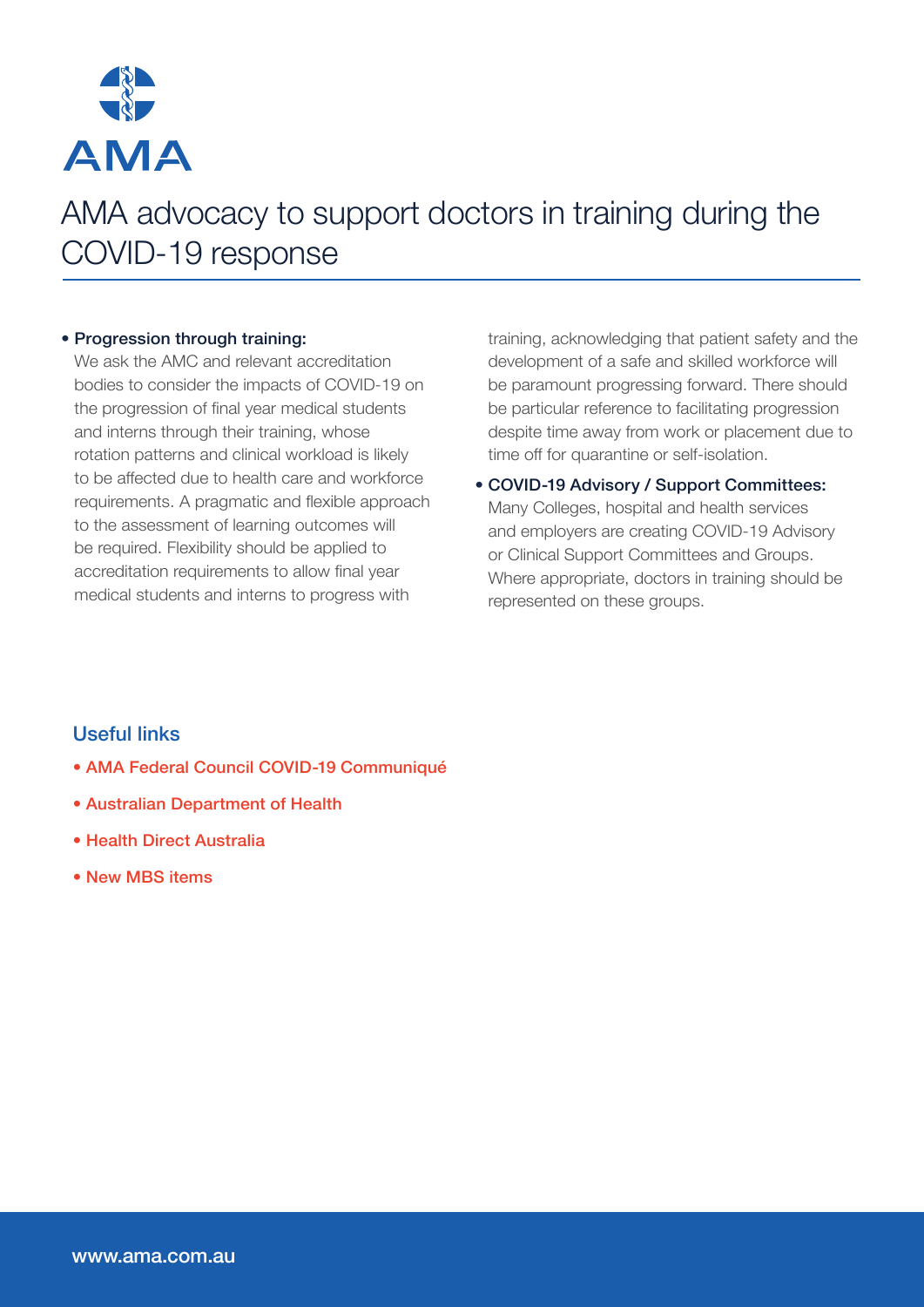

# • Progression through training:

We ask the AMC and relevant accreditation bodies to consider the impacts of COVID-19 on the progression of final year medical students and interns through their training, whose rotation patterns and clinical workload is likely to be affected due to health care and workforce requirements. A pragmatic and flexible approach to the assessment of learning outcomes will be required. Flexibility should be applied to accreditation requirements to allow final year medical students and interns to progress with

training, acknowledging that patient safety and the development of a safe and skilled workforce will be paramount progressing forward. There should be particular reference to facilitating progression despite time away from work or placement due to time off for quarantine or self-isolation.

• COVID-19 Advisory / Support Committees: Many Colleges, hospital and health services and employers are creating COVID-19 Advisory or Clinical Support Committees and Groups. Where appropriate, doctors in training should be represented on these groups.

# Useful links

- [AMA Federal Council COVID-19 Communiqué](https://ama.com.au/media/ama-federal-council-%E2%80%93-covid-19-communiqu%C3%A9)
- [Australian Department of Health](https://www.health.gov.au/news/health-alerts/novel-coronavirus-2019-ncov-health-alert?utm_source=health.gov.au&utm_medium=redirect&utm_campaign=digital_transformation&utm_content=health-topics/novel-coronavirus-2019-ncov)
- [Health Direct Australia](https://www.healthdirect.gov.au/coronavirus)
- [New MBS items](http://www.mbsonline.gov.au/internet/mbsonline/publishing.nsf/Content/news-2020-03-01-latest-news-March)